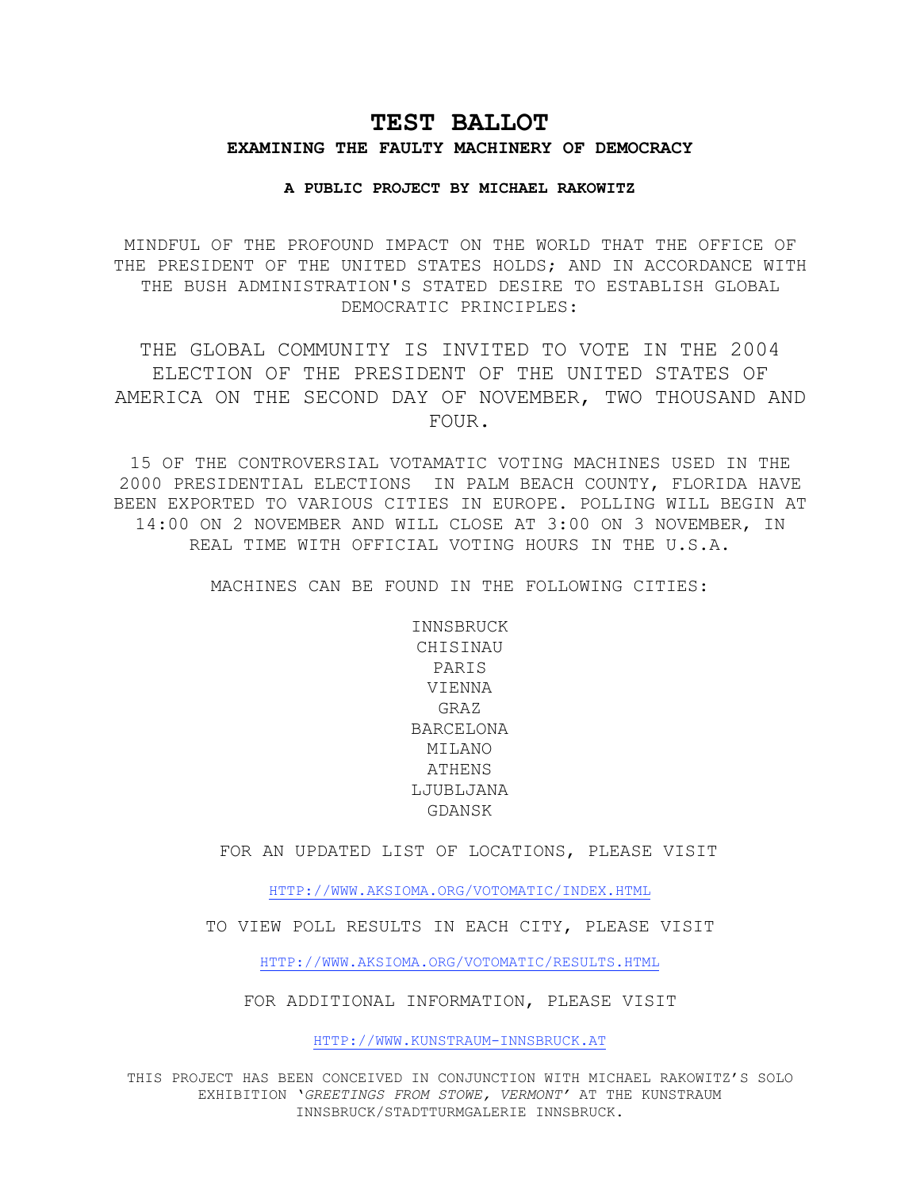## **TEST BALLOT**

## **EXAMINING THE FAULTY MACHINERY OF DEMOCRACY**

## **A PUBLIC PROJECT BY MICHAEL RAKOWITZ**

MINDFUL OF THE PROFOUND IMPACT ON THE WORLD THAT THE OFFICE OF THE PRESIDENT OF THE UNITED STATES HOLDS; AND IN ACCORDANCE WITH THE BUSH ADMINISTRATION'S STATED DESIRE TO ESTABLISH GLOBAL DEMOCRATIC PRINCIPLES:

THE GLOBAL COMMUNITY IS INVITED TO VOTE IN THE 2004 ELECTION OF THE PRESIDENT OF THE UNITED STATES OF AMERICA ON THE SECOND DAY OF NOVEMBER, TWO THOUSAND AND FOUR.

15 OF THE CONTROVERSIAL VOTAMATIC VOTING MACHINES USED IN THE 2000 PRESIDENTIAL ELECTIONS IN PALM BEACH COUNTY, FLORIDA HAVE BEEN EXPORTED TO VARIOUS CITIES IN EUROPE. POLLING WILL BEGIN AT 14:00 ON 2 NOVEMBER AND WILL CLOSE AT 3:00 ON 3 NOVEMBER, IN REAL TIME WITH OFFICIAL VOTING HOURS IN THE U.S.A.

MACHINES CAN BE FOUND IN THE FOLLOWING CITIES:

INNSBRUCK CHISINAU PARIS VIENNA GRAZ BARCELONA MILANO ATHENS LJUBLJANA GDANSK

FOR AN UPDATED LIST OF LOCATIONS, PLEASE VISIT

HTTP://WWW.AKSIOMA.ORG/VOTOMATIC/INDEX.HTML

TO VIEW POLL RESULTS IN EACH CITY, PLEASE VISIT

HTTP://WWW.AKSIOMA.ORG/VOTOMATIC/RESULTS.HTML

FOR ADDITIONAL INFORMATION, PLEASE VISIT

HTTP://WWW.KUNSTRAUM-INNSBRUCK.AT

THIS PROJECT HAS BEEN CONCEIVED IN CONJUNCTION WITH MICHAEL RAKOWITZ'S SOLO EXHIBITION '*GREETINGS FROM STOWE, VERMONT'* AT THE KUNSTRAUM INNSBRUCK/STADTTURMGALERIE INNSBRUCK.